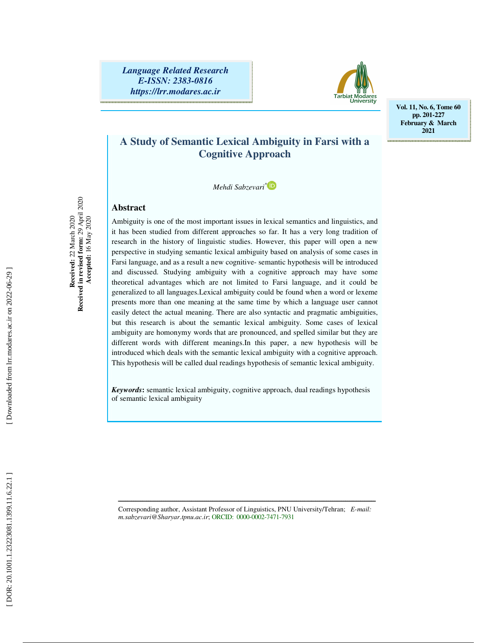*Language Related Research E-ISSN: 2383-0816 https://lrr.modares.ac.ir*



**Vol. 11, No. 6, Tome 60 pp. 201-227 February & March 2021** 

# **A Study of Semantic Lexical Ambiguity in Farsi with a Cognitive Approach**

*Mehdi Sabzevari \**

## **Abstract**

Ambiguity is one of the most important issues in lexical semantics and linguistics, and it has been studied from different approaches so far. It has a very long tradition of research in the history of linguistic studies. However, this paper will open a new perspective in studying semantic lexical ambiguity based on analysis of some cases in Farsi language, and as a result a new cognitive- semantic hypothesis will be introduced and discussed. Studying ambiguity with a cognitive approach may have some theoretical advantages which are not limited to Farsi language, and it could be generalized to all languages.Lexical ambiguity could be found when a word or lexeme presents more than one meaning at the same time by which a language user cannot easily detect the actual meaning. There are also syntactic and pragmatic ambiguities, but this research is about the semantic lexical ambiguity. Some cases of lexical ambiguity are homonymy words that are pronounced, and spelled similar but they are different words with different meanings.In this paper, a new hypothesis will be introduced which deals with the semantic lexical ambiguity with a cognitive approach. This hypothesis will be called dual readings hypothesis of semantic lexical ambiguity.

*Keywords***:** semantic lexical ambiguity, cognitive approach, dual readings hypothesis of semantic lexical ambiguity

ـــــــــــــــــــــــــــــــــــــــــــــــــــــــــــــــــــــــــــــــــــــــــــــــــــــــــــــــــــــــــــــــــــــــــ Corresponding author, Assistant Professor of Linguistics, PNU University/Tehran; *E-mail: m.sabzevari@Sharyar.tpnu.ac.ir*; ORCID: 0000-0002-7471-7931

 **Accepted:** 16 May 2020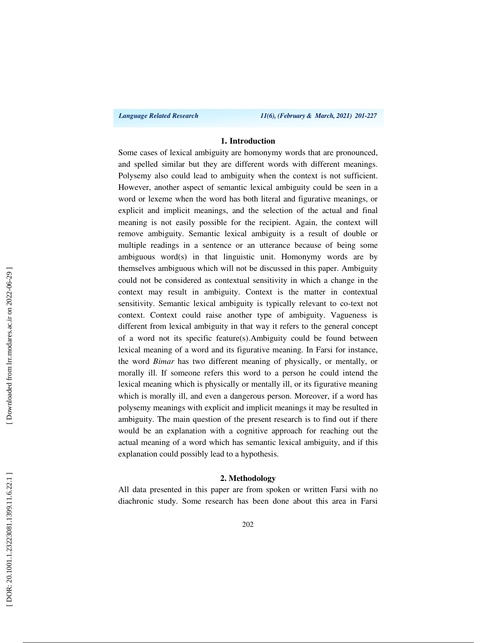*Language Related Research 11(6), (February & March, 2021) 201-227*

## **1. Introduction**

Some cases of lexical ambiguity are homonymy words that are pronounced, and spelled similar but they are different words with different meanings. Polysemy also could lead to ambiguity when the context is not sufficient. However, another aspect of semantic lexical ambiguity could be seen in a word or lexeme when the word has both literal and figurative meanings, or explicit and implicit meanings, and the selection of the actual and final meaning is not easily possible for the recipient. Again, the context will remove ambiguity. Semantic lexical ambiguity is a result of double or multiple readings in a sentence or an utterance because of being some ambiguous word(s) in that linguistic unit. Homonymy words are by themselves ambiguous which will not be discussed in this paper. Ambiguity could not be considered as contextual sensitivity in which a change in the context may result in ambiguity. Context is the matter in contextual sensitivity. Semantic lexical ambiguity is typically relevant to co-text not context. Context could raise another type of ambiguity. Vagueness is different from lexical ambiguity in that way it refers to the general concept of a word not its specific feature(s).Ambiguity could be found between lexical meaning of a word and its figurative meaning. In Farsi for instance, the word *Bimar* has two different meaning of physically, or mentally, or morally ill. If someone refers this word to a person he could intend the lexical meaning which is physically or mentally ill, or its figurative meaning which is morally ill, and even a dangerous person. Moreover, if a word has polysemy meanings with explicit and implicit meanings it may be resulted in ambiguity. The main question of the present research is to find out if there would be an explanation with a cognitive approach for reaching out the actual meaning of a word which has semantic lexical ambiguity, and if this explanation could possibly lead to a hypothesis.

#### **2. Methodology**

All data presented in this paper are from spoken or written Farsi with no diachronic study. Some research has been done about this area in Farsi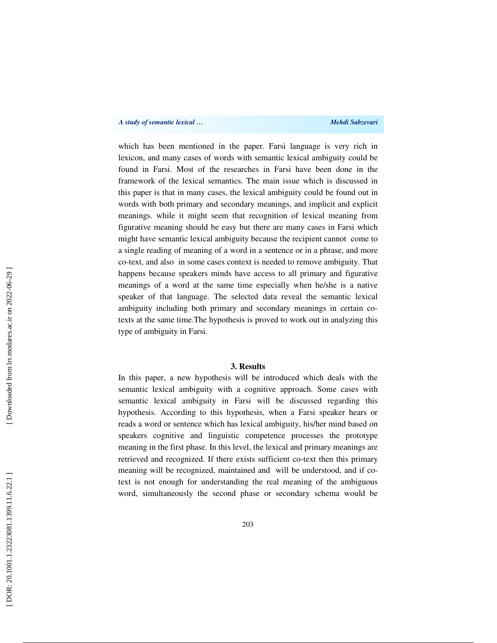which has been mentioned in the paper. Farsi language is very rich in lexicon, and many cases of words with semantic lexical ambiguity could be found in Farsi. Most of the researches in Farsi have been done in the framework of the lexical semantics. The main issue which is discussed in this paper is that in many cases, the lexical ambiguity could be found out in words with both primary and secondary meanings, and implicit and explicit meanings. while it might seem that recognition of lexical meaning from figurative meaning should be easy but there are many cases in Farsi which might have semantic lexical ambiguity because the recipient cannot come to a single reading of meaning of a word in a sentence or in a phrase, and more co-text, and also in some cases context is needed to remove ambiguity. That happens because speakers minds have access to all primary and figurative meanings of a word at the same time especially when he/she is a native speaker of that language. The selected data reveal the semantic lexical ambiguity including both primary and secondary meanings in certain cotexts at the same time.The hypothesis is proved to work out in analyzing this type of ambiguity in Farsi.

## **3. Results**

In this paper, a new hypothesis will be introduced which deals with the semantic lexical ambiguity with a cognitive approach. Some cases with semantic lexical ambiguity in Farsi will be discussed regarding this hypothesis. According to this hypothesis, when a Farsi speaker hears or reads a word or sentence which has lexical ambiguity, his/her mind based on speakers cognitive and linguistic competence processes the prototype meaning in the first phase. In this level, the lexical and primary meanings are retrieved and recognized. If there exists sufficient co-text then this primary meaning will be recognized, maintained and will be understood, and if cotext is not enough for understanding the real meaning of the ambiguous word, simultaneously the second phase or secondary schema would be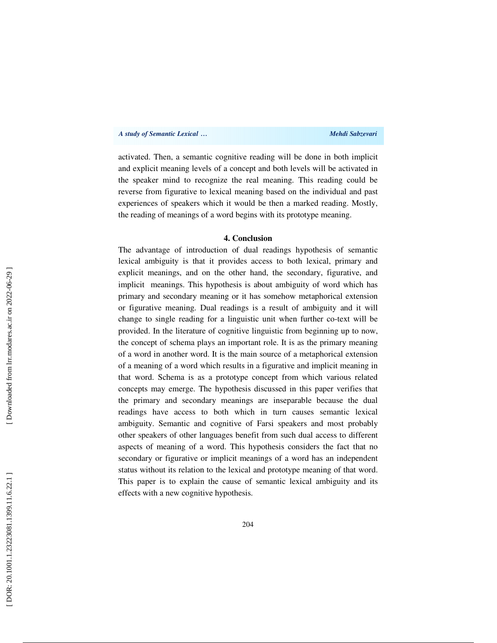activated. Then, a semantic cognitive reading will be done in both implicit and explicit meaning levels of a concept and both levels will be activated in the speaker mind to recognize the real meaning. This reading could be reverse from figurative to lexical meaning based on the individual and past experiences of speakers which it would be then a marked reading. Mostly, the reading of meanings of a word begins with its prototype meaning.

#### **4. Conclusion**

The advantage of introduction of dual readings hypothesis of semantic lexical ambiguity is that it provides access to both lexical, primary and explicit meanings, and on the other hand, the secondary, figurative, and implicit meanings. This hypothesis is about ambiguity of word which has primary and secondary meaning or it has somehow metaphorical extension or figurative meaning. Dual readings is a result of ambiguity and it will change to single reading for a linguistic unit when further co-text will be provided. In the literature of cognitive linguistic from beginning up to now, the concept of schema plays an important role. It is as the primary meaning of a word in another word. It is the main source of a metaphorical extension of a meaning of a word which results in a figurative and implicit meaning in that word. Schema is as a prototype concept from which various related concepts may emerge. The hypothesis discussed in this paper verifies that the primary and secondary meanings are inseparable because the dual readings have access to both which in turn causes semantic lexical ambiguity. Semantic and cognitive of Farsi speakers and most probably other speakers of other languages benefit from such dual access to different aspects of meaning of a word. This hypothesis considers the fact that no secondary or figurative or implicit meanings of a word has an independent status without its relation to the lexical and prototype meaning of that word. This paper is to explain the cause of semantic lexical ambiguity and its effects with a new cognitive hypothesis.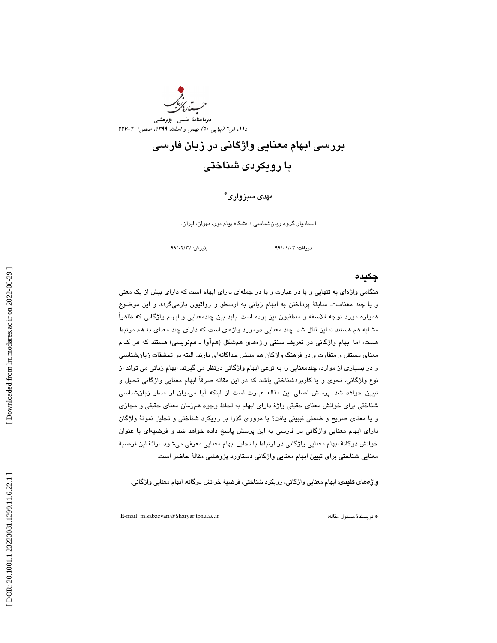

بررسي ابهام معنايي واژگاني در زبان فارسي با رويكردي شناختي

## مهدي سبزواري \*

استاديار گروه زبانشناسي دانشگاه پيام نور، تهران، ايران.

99 /02 99 پذيرش: /27

دريافت: 03/ /01

## چكيده

هنگامي واژهاي به تنهايي و يا در عبارت و يا در جملهاي داراي ابهام است كه داراي بيش از يك معني و يا چند معناست. سابقة پرداختن به ابهام زباني به ارسطو و رواقيون بازميگردد و اين موضوع همواره مورد توجه فلاسفه و منطقيون نيز بوده است. بايد بين چندمعنايي و ابهام واژگاني كه ظاهراً مشابه هم هستند تمايز قائل شد. چند معنايي درمورد واژهاي است كه داراي چند معناي به هم مرتبط هست، اما ابهام واژگاني در تعريف سنتي واژههاي همشكل (همآوا ـ همنويسي) هستند كه هر كدام معناي مستقل و متفاوت و در فرهنگ واژگان هم مدخل جداگانهاي دارند. البته در تحقيقات زبانشناسي و در بسياري از موارد، چندمعنايي را به نوعي ابهام واژگاني درنظر مي گيرند. ابهام زباني مي تواند از نوع واژگاني، نحوي و يا كاربردشناختي باشد كه در اين مقاله صرفاً ابهام معنايي واژگاني تحليل و تبيين خواهد شد. پرسش اصلي اين مقاله عبارت است از اينكه آيا ميتوان از منظر زبانشناسي شناختي براي خوانش معناي حقيقي واژة داراي ابهام به لحاظ وجود همزمان معناي حقيقي و مجازي و يا معناي صريح و ضمني تببيني يافت؟ با مروري گذرا بر رويكرد شناختي و تحليل نمونة واژگان داراي ابهام معنايي واژگاني در فارسي به اين پرسش پاسخ داده خواهد شد و فرضيهاي با عنوان خوانش دوگانة ابهام معنايي واژگاني در ارتباط با تحليل ابهام معنايي معرفي ميشود. ارائة اين فرضية معنايي شناختي براي تبيين ابهام معنايي واژگاني دستاورد پژوهشي مقالة حاضر است.

واژههاي كليدي: ابهام معنايي واژگاني، رويكرد شناختي، فرضية خوانش دوگانه، ابهام معنايي واژگاني.

ــــــــــــــــــــــــــــــــــــــــــــــــــــــــــــــــــــــــــــــــــــــــــــــــــــــــــــــــــــــــــــــــــــــــــ

E-mail: m.sabzevari@Sharyar.tpnu.ac.ir :مقاله مسئول نويسندة\*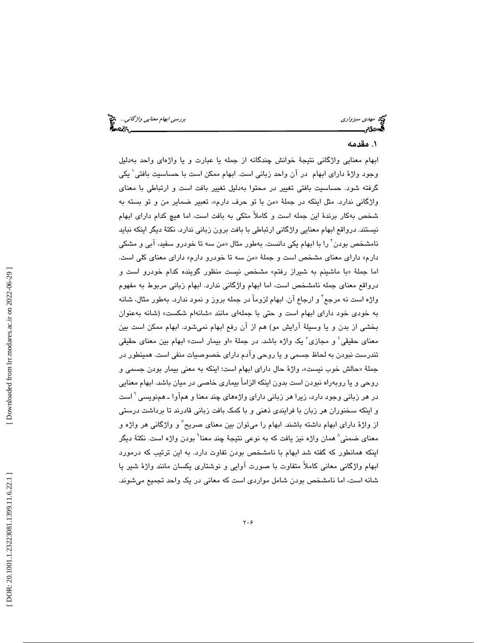# . مقدمه 1

ابهام معنايي واژگاني نتيجة خوانش چندگانه از جمله يا عبارت و يا واژهاي واحد بهدليل وجود واژهٔ دارای ابهام در آن واحد زبانی است. ابهام ممکن است با حساسیت بافتی` یکی گرفته شود. حساسيت بافتي تغيير در محتوا بهدليل تغيير بافت است و ارتباطي با معناي واژگاني ندارد. مثل اينكه در جملهٔ «من با تو حرف دارم»، تعبير ضماير من و تو بسته به شخص بهكار برندة اين جمله است و كاملاً متكي به بافت است، اما هيچ كدام داراي ابهام نيستند. درواقع ابهام معنايي واژگاني ارتباطي با بافت برون زباني ندارد. نكتة ديگر اينكه نبايد نامشخص بودن<sup>٬</sup> را با ابهام یکی دانست. بهطور مثال «من سه تا خودرو سفید، آبی و مشکی دارم» داراي معناي مشخص است و جملهٔ «من سه تا خودرو دارم» داراي معناي كلي است. اما جملهٔ «با ماشینم به شیراز رفتم» مشخص نیست منظور گوینده کدام خودرو است و درواقع معناي جمله نامشخص است، اما ابهام واژگاني ندارد. ابهام زباني مربوط به مفهوم واژه است نه مرجع<sup>۳</sup> و ارجاع آن. ابهام لزوماً در جمله بروز و نمود ندارد. بهطور مثال، شانه به خودي خود داراي ابهام است و حتى با جملهاي مانند «شانهام شكست» (شانه بهعنوان بخشي از بدن و يا وسيلة آرايش مو) هم از آن رفع ابهام نميشود. ابهام ممكن است بين معنای حقیقی ٔ و مجازی ْ یک واژه باشد. در جملهٔ «او بیمار است» ابهام بین معنای حقیقی تندرست نبودن به لحاظ جسمي و يا روحي وآدم داراي خصوصيات منفي است. همينطور در جملهٔ «حالش خوب نيست»، واژهٔ حال داراي ابهام است؛ اينكه به معني بيمار بودن جسمي و روحي و يا روبهراه نبودن است بدون اينكه الزاماً بيماري خاصي در ميان باشد. ابهام معنايي در هر زبانی وجود دارد، زیرا هر زبانی دارای واژههای چند معنا و همآوا ـ همنویسی <sup>٦</sup> است و اينكه سخنوران هر زبان با فرايندي ذهني و با كمك بافت زباني قادرند تا برداشت درستي از واژهٔ دارای ابهام داشته باشند. ابهام را میتوان بین معنای صریح ٔ و واژگانی هر واژه و معنای ضمنی^ همان واژه نیز یافت كه به نوعی نتیجهٔ چند معنا` بودن واژه است. نكتهٔ دیگر اينكه همانطور كه گفته شد ابهام با نامشخص بودن تفاوت دارد. به اين ترتيب كه درمورد ابهام واژگاني معاني كاملاً متفاوت با صورت آوايي و نوشتاري يكسان مانند واژة شير يا شانه است، اما نامشخص بودن شامل مواردي است كه معاني در يك واحد تجميع ميشوند.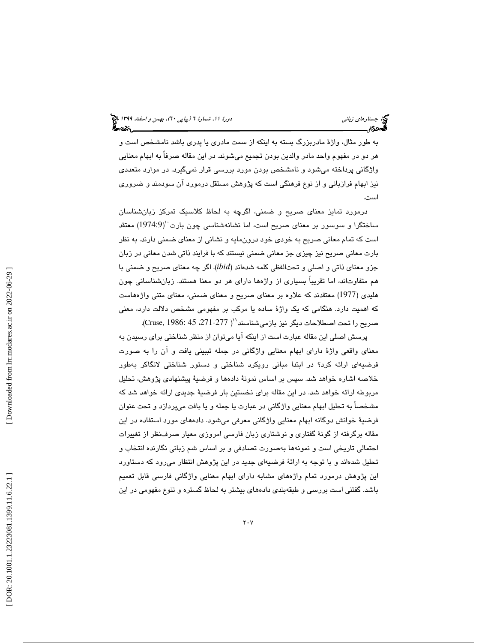به طور مثال، واژة مادربزرگ بسته به اينكه از سمت مادري يا پدري باشد نامشخص است و هر دو در مفهوم واحد مادر والدين بودن تجميع ميشوند. در اين مقاله صرفاً به ابهام معنايي واژگاني پرداخته ميشود و نامشخص بودن مورد بررسي قرار نميگيرد. در موارد متعددي نيز ابهام فرازباني و از نوع فرهنگي است كه پژوهش مستقل درمورد آن سودمند و ضروري است.

درمورد تمايز معناي صريح و ضمني، اگرچه به لحاظ كلاسيك تمركز زبانشناسان ساختگرا و سوسور بر معنای صریح است، اما نشانهشناسی چون بارت ``(1974:9) معتقد است كه تمام معاني صريح به خودي خود درونمايه و نشاني از معناي ضمني دارند. به نظر بارت معاني صريح نيز چيزي جز معاني ضمني نيستند كه با فرايند ذاتي شدن معاني در زبان جزو معناي ذاتي و اصلي و تحتالفظي كلمه شدهاند (*ibid*(. اگر چه معناي صريح و ضمني با هم متفاوتاند، اما تقريباً بسياري از واژهها داراي هر دو معنا هستند. زبانشناساني چون هليدي (1977) معتقدند كه علاوه بر معناي صريح و معناي ضمني، معناي متني واژههاست كه اهميت دارد. هنگامي كه يك واژة ساده يا مركب بر مفهومي مشخص دلالت دارد، معني صريح را تحت اصطلاحات ديگر نيز بازميشناسند``( Cruse, 1986: 45 .271-277).

پرسش اصلي اين مقاله عبارت است از اينكه آيا ميتوان از منظر شناختي براي رسيدن به معناي واقعي واژة داراي ابهام معنايي واژگاني در جمله تببيني يافت و آن را به صورت فرضيهاي ارائه كرد؟ در ابتدا مباني رويكرد شناختي و دستور شناختي لانگاكر بهطور خلاصه اشاره خواهد شد. سپس بر اساس نمونة دادهها و فرضية پيشنهادي پژوهش، تحليل مربوطه ارائه خواهد شد. در اين مقاله براي نخستين بار فرضية جديدي ارائه خواهد شد كه مشخصاً به تحليل ابهام معنايي واژگاني در عبارت يا جمله و يا بافت ميپردازد و تحت عنوان فرضية خوانش دوگانه ابهام معنايي واژگاني معرفي ميشود. دادههاي مورد استفاده در اين مقاله برگرفته از گونة گفتاري و نوشتاري زبان فارسي امروزي معيار صرفنظر از تغييرات احتمالي تاريخي است و نمونهها بهصورت تصادفي و بر اساس شم زباني نگارنده انتخاب و تحليل شدهاند و با توجه به ارائة فرضيهاي جديد در اين پژوهش انتظار ميرود كه دستاورد اين پژوهش درمورد تمام واژههاي مشابه داراي ابهام معنايي واژگاني فارسي قابل تعميم باشد. گفتني است بررسي و طبقهبندي دادههاي بيشتر به لحاظ گستره و تنوع مفهومي در اين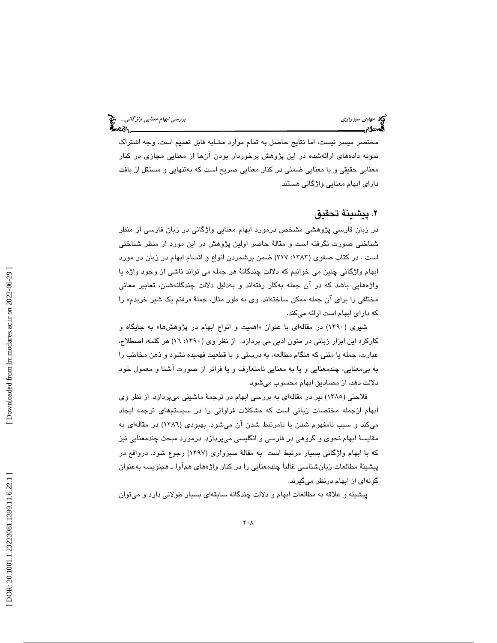مختصر ميسر نيست، اما نتايج حاصل به تمام موارد مشابه قابل تعميم است. وجه اشتراك نمونه دادههاي ارائهشده در اين پژوهش برخوردار بودن آنها از معنايي مجازي در كنار معنايي حقيقي و يا معنايي ضمني در كنار معنايي صريح است كه بهتنهايي و مستقل از بافت داراي ابهام معنايي واژگاني هستند.

# . پيشينة تحقيق 2

در زبان فارسي پژوهشي مشخص درمورد ابهام معنايي واژگاني در زبان فارسي از منظر شناختي صورت نگرفته است و مقالة حاضر اولين پژوهش در اين مورد از منظر شناختي است . در كتاب صفوي (:1383 217) ضمن برشمردن انواع و اقسام ابهام در زبان در مورد ابهام واژگاني چنين مي خوانيم كه دلالت چندگانة هر جمله مي تواند ناشي از وجود واژه يا واژههايي باشد كه در آن جمله بهكار رفتهاند و بهدليل دلالت چندگانهشان، تعابير معاني مختلفي را براي آن جمله ممكن ساختهاند. وي به طور مثال، جملهٔ «رفتم یک شیر خریدم» را كه داراي ابهام است ارائه ميكند.

شیری (۱۳۹۰) در مقالهای با عنوان «اهمیت و انواع ابهام در پژوهشها» به جایگاه و كاركرد اين ابزار زباني در متون ادبي مي پردازد. از نظر وي (:1390 16) هر كلمه، اصطلاح، عبارت، جمله يا متني كه هنگام مطالعه، به درستي و با قطعيت فهميده نشود و ذهن مخاطب را به بيمعنايي، چندمعنايي و يا به معنايي نامتعارف و يا فراتر از صورت آشنا و معمول خود دلالت دهد، از مصاديق ابهام محسوب ميشود.

فلاحتي (1385) نيز در مقالهاي به بررسي ابهام در ترجمة ماشيني ميپردازد. از نظر وي ابهام ازجمله مختصات زباني است كه مشكلات فراواني را در سيستمهاي ترجمه ايجاد ميكند و سبب نامفهوم شدن يا نامرتبط شدن آن ميشود. بهبودي (1386) در مقالهاي به مقايسة ابهام نحوي و گروهي در فارسي و انگليسي ميپردازد. درمورد مبحث چندمعنايي نيز كه با ابهام واژگاني بسيار مرتبط است به مقالة سبزواري (1397) رجوع شود. درواقع در پيشينة مطالعات زبانشناسي غالباً چندمعنايي را در كنار واژههاي همآوا ـ همنويسه بهعنوان گونهاي از ابهام درنظر ميگيرند.

پيشينه و علاقه به مطالعات ابهام و دلالت چندگانه سابقهاي بسيار طولاني دارد و ميتوان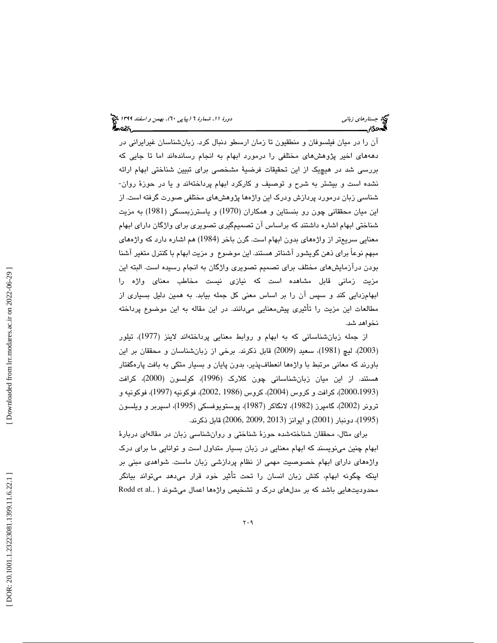آن را در ميان فيلسوفان و منطقيون تا زمان ارسطو دنبال كرد. زبانشناسان غيرايراني در دهههاي اخير پژوهشهاي مختلفي را درمورد ابهام به انجام رساندهاند اما تا جايي كه بررسي شد در هيچيك از اين تحقيقات فرضية مشخصي براي تبيين شناختي ابهام ارائه نشده است و بيشتر به شرح و توصيف و كاركرد ابهام پرداختهاند و يا در حوزة روان- شناسي زبان درمورد پردازش ودرك اين واژه ها پژوهشهاي مختلفي صورت گرفته است. از اين ميان محققاني چون رو بنستاين و همكاران (1970) و ياسترزبمسكي (1981) به مزيت شناختي ابهام اشاره داشتند كه براساس آن تصميمگيري تصويري براي واژگان داراي ابهام معنايي سريعتر از واژههاي بدون ابهام است. گرن باخر (1984) هم اشاره دارد كه واژههاي مبهم نوعاً براي ذهن گويشور آشناتر هستند. اين موضوع و مزيت ابهام با كنترل متغير آشنا بودن درآزمايشهاي مختلف براي تصميم تصويري واژگان به انجام رسيده است. البته اين مزيت زماني قابل مشاهده است كه نيازي نيست مخاطب معناي واژه را ابهامزدايي كند و سپس آن را بر اساس معني كل جمله بيابد. به همين دليل بسياري از مطالعات اين مزيت را تأثيري پيشمعنايي ميدانند. در اين مقاله به اين موضوع پرداخته نخواهد شد.

از جمله زبانشناساني كه به ابهام و روابط معنايي پرداختهاند لاينز (1977)، تيلور 2003)، ليچ (1981)، سعيد (2009) قابل ذكرند. برخي از زبانشناسان و محققان بر اين ) باورند كه معاني مرتبط با واژهها انعطافپذير، بدون پايان و بسيار متكي به بافت پارهگفتار هستند. از اين ميان زبانشناساني چون كلارك (1996)، كولسون (2000)، كرافت 2000)، كرافت و كروس ( 2004)، كروس (1986 2002,)، فوكونيه (1997)، فوكونيه و ،1993 ) ترونر (2002)، گامپرز (1982)، لانگاكر (1987)، پوستويوفسكي (1995)، اسپربر و ويلسون 1995)، دونبار (2001) و ايوانز (2013 2009, 2006,) قابل ذكرند. )

براي مثال، محققان شناختهشده حوزة شناختي و روانشناسي زبان در مقالهاي دربارة ابهام چنين مينويسند كه ابهام معنايي در زبان بسيار متداول است و توانايي ما براي درك واژههاي داراي ابهام خصوصيت مهمي از نظام پردازشي زبان ماست. شواهدي مبني بر اينكه چگونه ابهام، كنش زبان انسان را تحت تأثير خود قرار ميدهد ميتواند بيانگر محدوديتهايي باشد كه بر مدلهاي درك و تشخيص واژهها اعمال مي شوند ( .,Rodd et al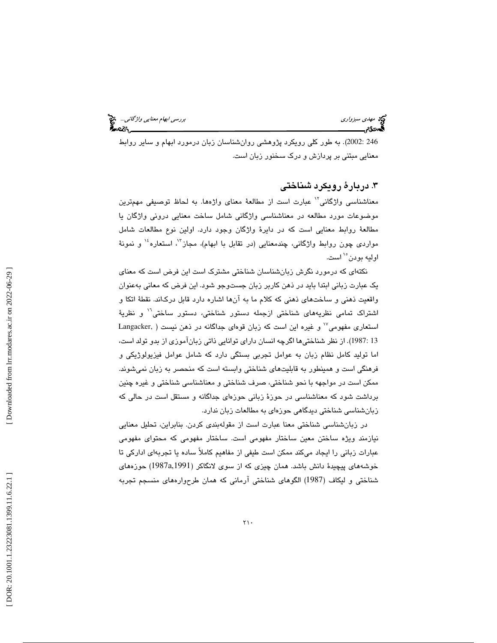به طور كلي رويكرد پژوهشي روانشناسان زبان درمورد ابهام و ساير روابط . (2002: 246 معنايي مبتني بر پردازش و درك سخنور زبان است.

# . دربارة رويكرد شناختي 3

معناشناسي واژگاني'` عبارت است از مطالعهٔ معناي واژهها. به لحاظ توصيفي مهمترين موضوعات مورد مطالعه در معناشناسي واژگاني شامل ساخت معنايي دروني واژگان يا مطالعة روابط معنايي است كه در دايرة واژگان وجود دارد. اولين نوع مطالعات شامل مواردی چون روابط واژگانی، چندمعنايي (در تقابل با ابهام)، مجاز"، استعاره<sup>،</sup>' و نمونهٔ اوليه بودن<sup>°٬</sup> است.

نكتهاي كه درمورد نگرش زبانشناسان شناختي مشترك است اين فرض است كه معناي يك عبارت زباني ابتدا بايد در ذهن كاربر زبان جستوجو شود. اين فرض كه معاني بهعنوان واقعيت ذهني و ساختهاي ذهني كه كلام ما به آنها اشاره دارد قابل دركاند. نقطة اتكا و اشتراک تمامی نظریههای شناختی ازجمله دستور شناختی، دستور ساختی<sup>۱٬</sup> و نظریهٔ  $\text{Langacker, }$ و غيره اين است كه زبان قوهاي جداگانه در ذهن نيست ( ,Langacker از نظر شناختيها اگرچه انسان داراي توانايي ذاتي زبانآموزي از بدو تولد است، . (1987: 13 اما توليد كامل نظام زبان به عوامل تجربي بستگي دارد كه شامل عوامل فيزيولوژيكي و فرهنگي است و همينطور به قابليتهاي شناختي وابسته است كه منحصر به زبان نميشوند. ممكن است در مواجهه با نحو شناختي، صرف شناختي و معناشناسي شناختي و غيره چنين برداشت شود كه معناشناسي در حوزة زباني حوزهاي جداگانه و مستقل است در حالي كه زبانشناسي شناختي ديدگاهي حوزهاي به مطالعات زبان ندارد.

در زبانشناسي شناختي معنا عبارت است از مقولهبندي كردن. بنابراين، تحليل معنايي نيازمند ويژه ساختن معين ساختار مفهومي است. ساختار مفهومي كه محتواي مفهومي عبارات زباني را ايجاد ميكند ممكن است طيفي از مفاهيم كاملاً ساده يا تجربهاي اداركي تا خوشههاي پيچيدهٔ دانش باشد. همان چيزي كه از سوي لانگاكر (1987a,1991) حوزههاي شناختي و ليكاف (1987) الگوهاي شناختي آرماني كه همان طرحوارههاي منسجم تجربه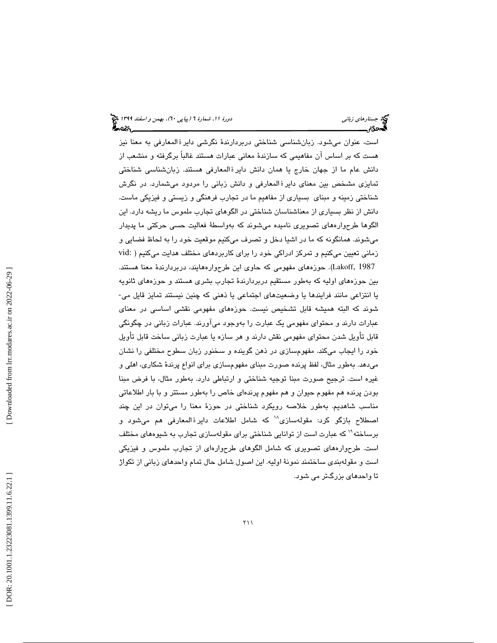است، عنوان میشود. زبانشناسی شناختی دربردارندهٔ نگرشی دایرۀ المعارفی به معنا نیز هست كه بر اساس آن مفاهيمي كه سازندة معاني عبارات هستند غالباً برگرفته و منشعب از دانش عام ما از جهان خارج يا همان دانش دايرۀالمعارفي هستند. زبانشناسي شناختي تمايزي مشخص بين معناي دايرۀ المعارفي و دانش زباني را مردود ميشمارد. در نگرش شناختي زمينه و مبناي بسياري از مفاهيم ما در تجارب فرهنگي و زيستي و فيزيكي ماست. دانش از نظر بسياري از معناشناسان شناختي در الگوهاي تجارب ملموس ما ريشه دارد. اين الگوها طرحوارههاي تصويري ناميده ميشوند كه بهواسطة فعاليت حسي حركتي ما پديدار ميشوند. همانگونه كه ما در اشيا دخل و تصرف ميكنيم موقعيت خود را به لحاظ فضايي و زماني تعيين ميكنيم و تمركز ادراكي خود را براي كاربردهاي مختلف هدايت ميكنيم ( :vid Lakoff, 1987). حوزههاي مفهومي كه حاوي اين طرحوارههايند، دربردارندهٔ معنا هستند. بين حوزههاي اوليه كه بهطور مستقيم دربردارندهٔ تجارب بشري هستند و حوزههاي ثانويه<br>يا انتزاعي مانند فرايندها يا وضعيتهاي اجتماعي يا ذهني كه چنين نيستند تمايز قايل مي-شوند كه البته هميشه قابل تشخيص نيست. حوزههاي مفهومي نقشي اساسي در معناي عبارات دارند و محتواي مفهومي يك عبارت را بهوجود ميآورند. عبارات زباني در چگونگي قابل تأويل شدن محتواي مفهومي نقش دارند و هر سازه يا عبارت زباني ساخت قابل تأويل خود را ايجاب ميكند. مفهومسازي در ذهن گوينده و سخنور زبان سطوح مختلفي را نشان ميدهد. بهطور مثال، لفظ پرنده صورت مبناي مفهومسازي براي انواع پرندة شكاري، اهلي و غيره است. ترجيح صورت مبنا توجيه شناختي و ارتباطي دارد. بهطور مثال، با فرض مبنا بودن پرنده هم مفهوم حيوان و هم مفهوم پرندهاي خاص را بهطور مستتر و با بار اطلاعاتي مناسب شاهديم. بهطور خلاصه رويكرد شناختي در حوزة معنا را ميتوان در اين چند اصطلاح بازگو كرد: مقولهسازي^` كه شامل اطلاعات دايرۀالمعارفي هم ميشود و برساخته<sup>\\</sup> كه عبارت است از توانايي شناختي براي مقولهسازي تجارب به شيوههاي مختلف است. طرحوارههاي تصويري كه شامل الگوهاي طرحوارهاي از تجارب ملموس و فيزيكي است و مقولهبندي ساختمند نمونة اوليه. اين اصول شامل حال تمام واحدهاي زباني از تكواژ تا واحدهاي بزرگتر مي شود.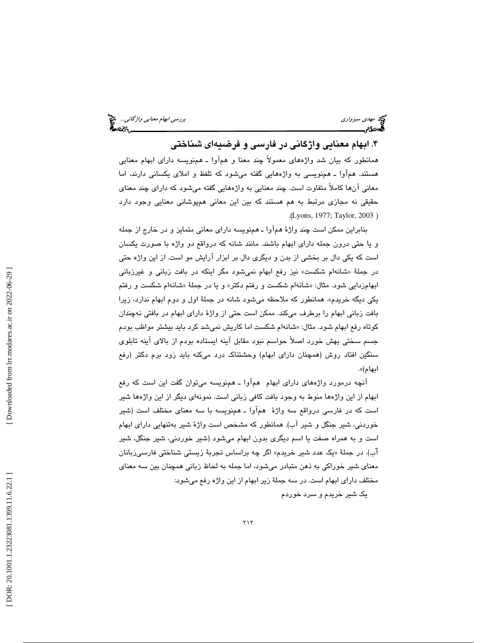۴. ابهام معنايي واژگاني در فارسي و فرضيهای شناختی

همانطور كه بيان شد واژههاي معمولاً چند معنا و همآوا ـ همنويسه داراي ابهام معنايي هستند. همآوا ـ همنويسي به واژههايي گفته ميشود كه تلفظ و املاي يكساني دارند، اما معاني آنها كاملاً متفاوت است. چند معنايي به واژههايي گفته ميشود كه داراي چند معناي حقيقي نه مجازي مرتبط به هم هستند كه بين اين معاني همپوشاني معنايي وجود دارد .( Lyons, 1977; Taylor, 2003 )

بنابراين ممكن است چند واژة همآوا ـ همنويسه داراي معاني متمايز و در خارج از جمله و يا حتي درون جمله داراي ابهام باشند. مانند شانه كه درواقع دو واژه با صورت يكسان است كه يكي دال بر بخشي از بدن و ديگري دال بر ابزار آرايش مو است. از اين واژه حتي شانهام شكست» نيز رفع ابهام نميشود مگر اينكه در بافت زباني و غيرزباني در جملة « ابهامزدايي شود. مثال: «شانهام شكست و رفتم دكتر» و يا در جملهٔ «شانهام شكست و رفتم يكي ديگه خريدم». همانطور كه ملاحظه ميشود شانه در جملة اول و دوم ابهام ندارد، زيرا بافت زباني ابهام را برطرف ميكند. ممكن است حتي از واژة داراي ابهام در بافتي نهچندان كوتاه رفع ابهام شود. مثال: «شانهام شكست اما كاريش نميشد كرد بايد بيشتر مواظب بودم جسم سختي بهش خورد اصلاً حواسم نبود مقابل آينه ايستاده بودم از بالاي آينه تابلوي سنگين افتاد روش (همچنان داراي ابهام) وحشتناك درد ميكنه بايد زود برم دكتر (رفع ابهام)».

آنچه درمورد واژههاي داراي ابهام همآوا ـ همنويسه ميتوان گفت اين است كه رفع ابهام از اين واژهها منوط به وجود بافت كافي زباني است. نمونهاي ديگر از اين واژهها شير است كه در فارسي درواقع سه واژة همآوا ـ همنويسه با سه معناي مختلف است (شير خوردني، شير جنگل و شير آب). همانطور كه مشخص است واژة شير بهتنهايي داراي ابهام است و به همراه صفت يا اسم ديگري بدون ابهام ميشود (شير خوردني، شير جنگل، شير آب). در جملهٔ «یک عدد شیر خریدم» اگر چه براساس تجربهٔ زیستی شناختی فارسیزبانان معناي شير خوراكي به ذهن متبادر ميشود، اما جمله به لحاظ زباني همچنان بين سه معناي مختلف داراي ابهام است. در سه جملة زير ابهام از اين واژه رفع ميشود:

يك شير خريدم و سرد خوردم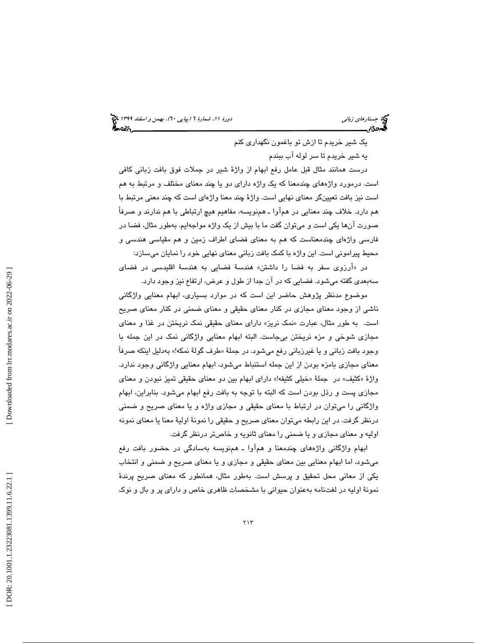يك شير خريدم تا ازش تو باغمون نگهداري كنم

يه شير خريدم تا سر لوله آب ببندم

درست همانند مثال قبل عامل رفع ابهام از واژة شير در جملات فوق بافت زباني كافي است. درمورد واژههاي چندمعنا كه يك واژه داراي دو يا چند معناي مختلف و مرتبط به هم است نيز بافت تعيينگر معناي نهايي است. واژة چند معنا واژهاي است كه چند معني مرتبط با هم دارد. خلاف چند معنايي در همآوا ـ همنويسه، مفاهيم هيچ ارتباطي با هم ندارند و صرفاً صورت آنها يكي است و ميتوان گفت ما با بيش از يك واژه مواجهايم. بهطور مثال، فضا در فارسي واژهاي چندمعناست كه هم به معناي فضاي اطراف زمين و هم مقياسي هندسي و محيط پيراموني است. اين واژه با كمك بافت زباني معناي نهايي خود را نمايان ميسازد:

در «آرزوی سفر به فضا را داشتن» هندسهٔ فضایی به هندسهٔ اقلیدسی در فضای سهبعدي گفته ميشود. فضايي كه در آن جدا از طول و عرض، ارتفاع نيز وجود دارد .

موضوع مدنظر پژوهش حاضر اين است كه در موارد بسياري، ابهام معنايي واژگاني ناشي از وجود معناي مجازي در كنار معناي حقيقي و معناي ضمني در كنار معناي صريح است. به طور مثال، عبارت «نمک نریز» دارای معنای حقیقی نمک نریختن در غذا و معنای مجازي شوخي و مزه نريختن بيجاست. البته ابهام معنايي واژگاني نمك در اين جمله با وجود بافت زباني و يا غيرزباني رفع ميشود. در جملهٔ «طرف گولهٔ نمکه!» بهدليل اينکه صرفاً معناي مجازي بامزه بودن از اين جمله استنباط ميشود، ابهام معنايي واژگاني وجود ندارد. واژهٔ «کثيف» در جملهٔ «خيلي کثيفه!» داراي ابهام بين دو معناي حقيقي تميز نبودن و معناي مجازي پست و رذل بودن است كه البته با توجه به بافت رفع ابهام ميشود. بنابراين، ابهام واژگاني را ميتوان در ارتباط با معناي حقيقي و مجازي واژه و يا معناي صريح و ضمني درنظر گرفت. در اين رابطه ميتوان معناي صريح و حقيقي را نمونة اولية معنا يا معناي نمونه اوليه و معناي مجازي و يا ضمني را معناي ثانويه و خاصتر درنظر گرفت.

ابهام واژگاني واژههاي چندمعنا و همآوا ـ همنويسه بهسادگي در حضور بافت رفع ميشود، اما ابهام معنايي بين معناي حقيقي و مجازي و يا معناي صريح و ضمني و انتخاب يكي از معاني محل تحقيق و پرسش است. بهطور مثال، همانطور كه معناي صريح پرندة نمونة اوليه در لغتنامه بهعنوان حيواني با مشخصات ظاهري خاص و داراي پر و بال و نوك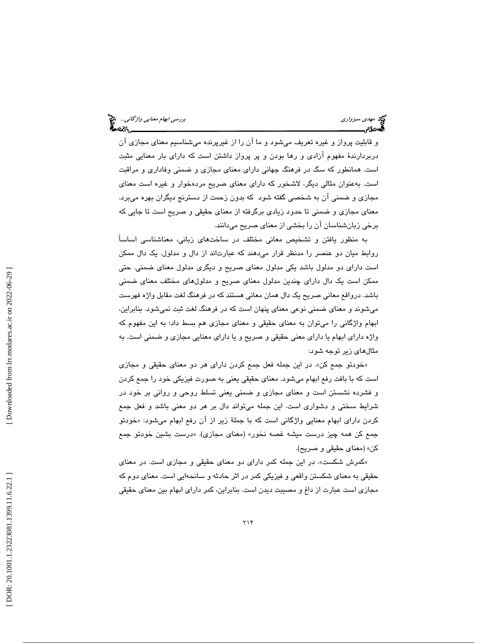و قابليت پرواز و غيره تعريف ميشود و ما آن را از غيرپرنده ميشناسيم معناي مجازي آن دربردارندة مفهوم آزادي و رها بودن و پر پرواز داشتن است كه داراي بار معنايي مثبت است. همانطور كه سگ در فرهنگ جهاني داراي معناي مجازي و ضمني وفاداري و مراقبت است. بهعنوان مثالي ديگر، لاشخور كه داراي معناي صريح مردهخوار و غيره است معناي مجازي و ضمني آن به شخصي گفته شود كه بدون زحمت از دسترنج ديگران بهره ميبرد. معناي مجازي و ضمني تا حدود زيادي برگرفته از معناي حقيقي و صريح است تا جايي كه برخي زبانشناسان آن را بخشي از معناي صريح ميدانند.

به منظور يافتن و تشخيص معاني مختلف در ساختهاي زباني، معناشناسي اساساً روابط ميان دو عنصر را مدنظر قرار ميدهند كه عبارتاند از دال و مدلول. يك دال ممكن است داراي دو مدلول باشد يكي مدلول معناي صريح و ديگري مدلول معناي ضمني. حتي ممكن است يك دال داراي چندين مدلول معناي صريح و مدلولهاي مختلف معناي ضمني باشد. درواقع معاني صريح يك دال همان معاني هستند كه در فرهنگ لغت مقابل واژه فهرست ميشوند و معناي ضمني نوعي معناي پنهان است كه در فرهنگ لغت ثبت نميشود. بنابراين، ابهام واژگاني را ميتوان به معناي حقيقي و معناي مجازي هم بسط داد؛ به اين مفهوم كه واژه داراي ابهام يا داراي معني حقيقي و صريح و يا داراي معنايي مجازي و ضمني است. به مثالهاي زير توجه شود:

خودتو جمع كن». در اين جمله فعل جمع كردن داراي هر دو معناي حقيقي و مجازي » است كه با بافت رفع ابهام ميشود. معناي حقيقي يعني به صورت فيزيكي خود را جمع كردن و فشرده نشستن است و معناي مجازي و ضمني يعني تسلط روحي و رواني بر خود در شرايط سختي و دشواري است. اين جمله ميتواند دال بر هر دو معني باشد و فعل جمع كردن داراي ابهام معنايي واژگاني است كه با جملهٔ زير از آن رفع ابهام ميشود: «خودتو جمع كن همه چيز درست ميشه غصه نخور» (معناي مجازي). «درست بشين خودتو جمع كن» (معناي حقيقي و صريح).

«كمرش شكست». در اين جمله كمر داراي دو معناي حقيقي و مجازي است. در معناي حقيقي به معناي شكستن واقعي و فيزيكي كمر در اثر حادثه و سانحهايي است. معناي دوم كه مجازي است عبارت از داغ و مصيبت ديدن است. بنابراين، كمر داراي ابهام بين معناي حقيقي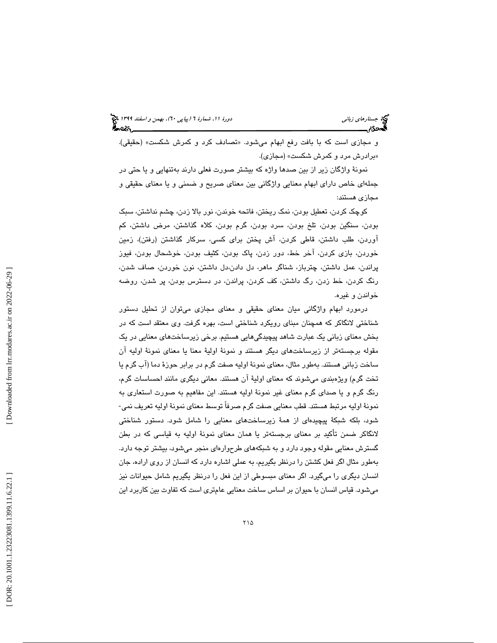و مجازي است كه با بافت رفع ابهام ميشود. «تصادف كرد و كمرش شكست» (حقيقي). برادرش مرد و كمرش شكست» (مجازي). »

نمونة واژگان زير از بين صدها واژه كه بيشتر صورت فعلي دارند بهتنهايي و يا حتي در جملهاي خاص داراي ابهام معنايي واژگاني بين معناي صريح و ضمني و يا معناي حقيقي و مجازي هستند:

كوچك كردن، تعطيل بودن، نمك ريختن، فاتحه خوندن، نور بالا زدن، چشم نداشتن، سبك بودن، سنگين بودن، تلخ بودن، سرد بودن، گرم بودن، كلاه گذاشتن، مرض داشتن، كم آوردن، طلب داشتن، قاطي كردن، آش پختن براي كسي، سركار گذاشتن (رفتن)، زمين خوردن، بازي كردن، آخر خط، دور زدن، پاك بودن، كثيف بودن، خوشحال بودن، فيوز پراندن، عمل داشتن، چترباز، شناگر ماهر، دل دادن،دل داشتن، نون خوردن، صاف شدن، رنگ كردن، خط زدن، رگ داشتن، كف كردن، پراندن، در دسترس بودن، پر شدن، روضه خواندن و غيره .

درمورد ابهام واژگاني ميان معناي حقيقي و معناي مجازي ميتوان از تحليل دستور شناختي لانگاكر كه همچنان مبناي رويكرد شناختي است، بهره گرفت. وي معتقد است كه در بخش معناي زباني يك عبارت شاهد پيچيدگيهايي هستيم. برخي زيرساختهاي معنايي در يك مقوله برجستهتر از زيرساختهاي ديگر هستند و نمونة اولية معنا يا معناي نمونة اوليه آن ساخت زباني هستند. بهطور مثال، معناي نمونة اوليه صفت گرم در برابر حوزة دما (آب گرم يا تخت گرم) ويژهبندي ميشوند كه معناي اولية آن هستند. معاني ديگري مانند احساسات گرم، رنگ گرم و يا صداي گرم معناي غير نمونة اوليه هستند. اين مفاهيم به صورت استعاري به نمونة اوليه مرتبط هستند. قطب معنايي صفت گرم صرفاً توسط معناي نمونة اوليه تعريف نمي- شود، بلكه شبكة پيچيدهاي از همة زيرساختهاي معنايي را شامل شود. دستور شناختي لانگاكر ضمن تأكيد بر معناي برجستهتر يا همان معناي نمونة اوليه به قياسي كه در بطن گسترش معنايي مقوله وجود دارد و به شبكههاي طرحوارهاي منجر ميشود، بيشتر توجه دارد. بهطور مثال اگر فعل كشتن را درنظر بگيريم، به عملي اشاره دارد كه انسان از روي اراده، جان انسان ديگري را ميگيرد. اگر معناي مبسوطي از اين فعل را درنظر يگيريم شامل حيوانات نيز ميشود. قياس انسان با حيوان بر اساس ساخت معنايي عامتري است كه تفاوت بين كاربرد اين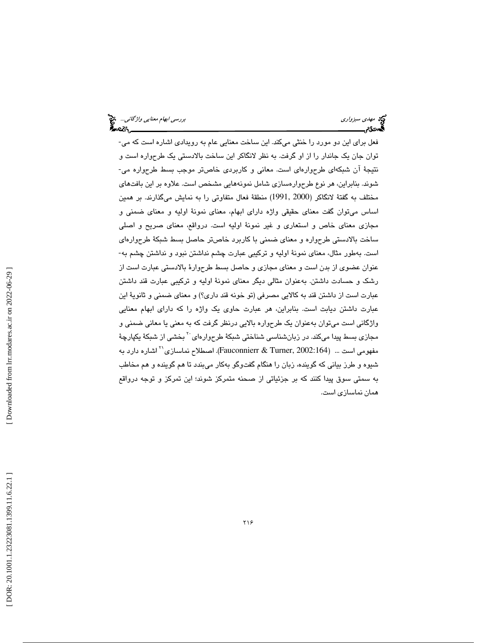فعل براي اين دو مورد را خنثي ميكند. اين ساخت معنايي عام به رويدادي اشاره است كه مي- توان جان يك جاندار را از او گرفت. به نظر لانگاكر اين ساخت بالادستي يك طرحواره است و نتيجة آن شبكهاي طرحوارهاي است. معاني و كاربردي خاصتر موجب بسط طرحواره مي- شوند. بنابراين، هر نوع طرحوارهسازي شامل نمونههايي مشخص است. علاوه بر اين بافتهاي مختلف به گفتة لانگاكر (2000 1991,) منطقة فعال متفاوتي را به نمايش ميگذارند. بر همين اساس ميتوان گفت معناي حقيقي واژه داراي ابهام، معناي نمونة اوليه و معناي ضمني و مجازي معناي خاص و استعاري و غير نمونة اوليه است. درواقع، معناي صريح و اصلي ساخت بالادستي طرحواره و معناي ضمني با كاربرد خاصتر حاصل بسط شبكة طرحوارهاي است. بهطور مثال، معناي نمونة اوليه و تركيبي عبارت چشم نداشتن نبود و نداشتن چشم به- عنوان عضوي از بدن است و معناي مجازي و حاصل بسط طرحوارة بالادستي عبارت است از رشك و حسادت داشتن. بهعنوان مثالي ديگر معناي نمونة اوليه و تركيبي عبارت قند داشتن عبارت است از داشتن قند به كالايي مصرفي (تو خونه قند داري؟) و معناي ضمني و ثانوية اين عبارت داشتن ديابت است. بنابراين، هر عبارت حاوي يك واژه را كه داراي ابهام معنايي واژگاني است ميتوان بهعنوان يك طرحواره بالايي درنظر گرفت كه به معني يا معاني ضمني و مجازي بسط پيدا ميكند. در زبانشناسي شناختي شبكهٔ طرحوارهاي<sup>۲۰</sup> بخشي از شبكهٔ يكپارچهٔ اشاره دارد به (2002:164 Fauconnierr & Turner, اصطلاح نماسازی $^{\prime\prime}$ اشاره دارد به  $\,$ شيوه و طرز بياني كه گوينده، زبان را هنگام گفتوگو بهكار ميبندد تا هم گوينده و هم مخاطب به سمتي سوق پيدا كنند كه بر جزئياتي از صحنه متمركز شوند؛ اين تمركز و توجه درواقع همان نماسازي است.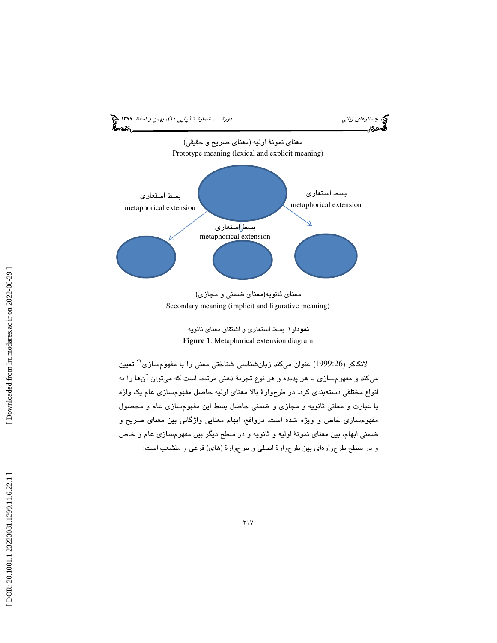

معناي ثانويه(معناي ضمني و مجازي) Secondary meaning (implicit and figurative meaning)

> نمودار ۱: بسط استعاري و اشتقاق معناي ثانويه **Figure 1**: Metaphorical extension diagram

لانگاكر (1999:26) عنوان مىكند زبانشناسى شناختى معنى را با مفهومسازى<sup>7</sup>٬ تعيين ميكند و مفهومسازي با هر پديده و هر نوع تجربة ذهني مرتبط است كه ميتوان آنها را به انواع مختلفي دستهبندي كرد. در طرحوارة بالا معناي اوليه حاصل مفهومسازي عام يك واژه يا عبارت و معاني ثانويه و مجازي و ضمني حاصل بسط اين مفهومسازي عام و محصول مفهومسازي خاص و ويژه شده است. درواقع، ابهام معنايي واژگاني بين معناي صريح و ضمني ابهام، بين معناي نمونة اوليه و ثانويه و در سطح ديگر بين مفهومسازي عام و خاص و در سطح طرحوارهاي بين طرحوارة اصلي و طرحوارة (هاي) فرعي و منشعب است: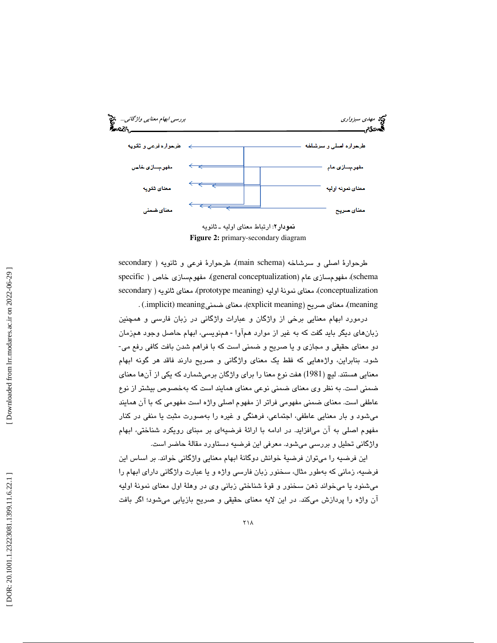

**نمودار ۲**: ارتباط معنای اولیه ــ ثانویه **Figure 2:** primary-secondary diagram

طرحوارهٔ اصلی و سرشاخه (main schema)، طرحوارهٔ فرعی و ثانویه ( secondary specific ) مفهومسازي عام (general conceptualization)، مفهومسازي خاص ( specific conceptualization)، معناي نمونة اوليه (prototype meaning)، معناي ثانويه ( secondary meaning)، معناي صريح (explicit meaning)، معناي ضمنيimplicit) meaning) .

درمورد ابهام معنايي برخي از واژگان و عبارات واژگاني در زبان فارسي و همچنين زبانهای دیگر باید گفت که به غیر از موارد همآوا - همنویسی، ابهام حاصل وجود همزمان دو معناي حقيقي و مجازي و يا صريح و ضمني است كه با فراهم شدن بافت كافي رفع مي- شود. بنابراين، واژههايي كه فقط يك معناي واژگاني و صريح دارند فاقد هر گونه ابهام معنايي هستند. ليچ (1981) هفت نوع معنا را براي واژگان برميشمارد كه يكي از آنها معناي ضمني است. به نظر وي معناي ضمني نوعي معناي همايند است كه بهخصوص بيشتر از نوع عاطفي است. معناي ضمني مفهومي فراتر از مفهوم اصلي واژه است مفهومي كه با آن همايند ميشود و بار معنايي عاطفي، اجتماعي، فرهنگي و غيره را بهصورت مثبت يا منفي در كنار مفهوم اصلي به آن ميافزايد. در ادامه با ارائة فرضيهاي بر مبناي رويكرد شناختي، ابهام واژگاني تحليل و بررسي ميشود. معرفي اين فرضيه دستاورد مقالة حاضر است.

اين فرضيه را ميتوان فرضية خوانش دوگانة ابهام معنايي واژگاني خواند. بر اساس اين فرضيه، زماني كه بهطور مثال، سخنور زبان فارسي واژه و يا عبارت واژگاني داراي ابهام را ميشنود يا ميخواند ذهن سخنور و قوة شناختي زباني وي در وهلة اول معناي نمونة اوليه آن واژه را پردازش ميكند. در اين لايه معناي حقيقي و صريح بازيابي ميشود؛ اگر بافت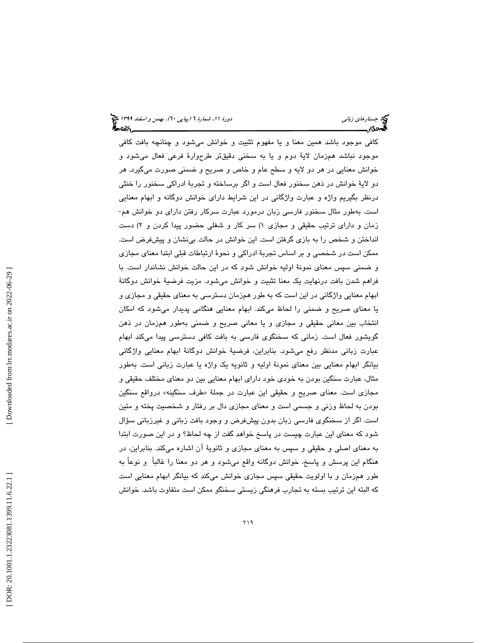كافي موجود باشد همين معنا و يا مفهوم تثبيت و خوانش ميشود و چنانچه بافت كافي موجود نباشد همزمان لاية دوم و يا به سخني دقيقتر طرحوارة فرعي فعال ميشود و خوانش معنايي در هر دو لايه و سطح عام و خاص و صريح و ضمني صورت ميگيرد. هر دو لاية خوانش در ذهن سخنور فعال است و اگر برساخته و تجربة ادراكي سخنور را خنثي درنظر بگيريم واژه و عبارت واژگاني در اين شرايط داراي خوانش دوگانه و ابهام معنايي است. بهطور مثال سخنور فارسي زبان درمورد عبارت سركار رفتن داراي دو خوانش هم- زمان و داراي ترتيب حقيقي و مجازي ١) سر كار و شغلي حضور پيدا كردن و ٢) دست انداختن و شخص را به بازي گرفتن است. اين خوانش در حالت بينشان و پيشفرض است. ممكن است در شخصي و بر اساس تجربة ادراكي و نحوة ارتباطات قبلي ابتدا معناي مجازي و ضمني سپس معناي نمونة اوليه خوانش شود كه در اين حالت خوانش نشاندار است. با فراهم شدن بافت درنهايت يك معنا تثبيت و خوانش ميشود. مزيت فرضية خوانش دوگانة ابهام معنايي واژگاني در اين است كه به طور همزمان دسترسي به معناي حقيقي و مجازي و يا معناي صريح و ضمني را لحاظ ميكند. ابهام معنايي هنگامي پديدار ميشود كه امكان انتخاب بين معاني حقيقي و مجازي و يا معاني صريح و ضمني بهطور همزمان در ذهن گويشور فعال است. زماني كه سخنگوي فارسي به بافت كافي دسترسي پيدا ميكند ابهام عبارت زباني مدنظر رفع ميشود. بنابراين، فرضية خوانش دوگانة ابهام معنايي واژگاني بيانگر ابهام معنايي بين معناي نمونة اوليه و ثانويه يك واژه يا عبارت زباني است. بهطور مثال، عبارت سنگين بودن به خودي خود داراي ابهام معنايي بين دو معناي مختلف حقيقي و مجازي است. معناي صريح و حقيقي اين عبارت در جملهٔ «طرف سنگينه» درواقع سنگين بودن به لحاظ وزني و جسمي است و معناي مجازي دال بر رفتار و شخصيت پخته و متين است. اگر از سخنگوي فارسي زبان بدون پيشفرض و وجود بافت زباني و غيرزباني سؤال شود كه معناي اين عبارت چيست در پاسخ خواهد گفت از چه لحاظ؟ و در اين صورت ابتدا به معناي اصلي و حقيقي و سپس به معناي مجازي و ثانوية آن اشاره ميكند. بنابراين، در هنگام اين پرسش و پاسخ، خوانش دوگانه واقع ميشود و هر دو معنا را غالباً و نوعاً به طور همزمان و با اولويت حقيقي سپس مجازي خوانش ميكند كه بيانگر ابهام معنايي است كه البته اين ترتيب بسته به تجارب فرهنگي زيستي سخنگو ممكن است متفاوت باشد. خوانش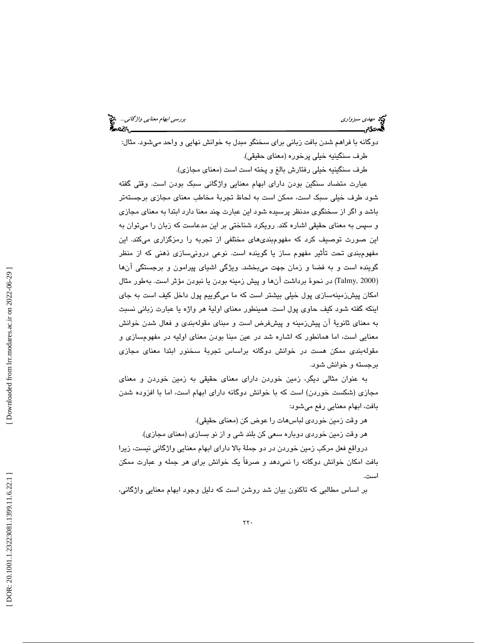مهدي سبزواري بررسي ابهام معنايي واژگاني...

دوگانه با فراهم شدن بافت زباني براي سخنگو مبدل به خوانش نهايي و واحد ميشود. مثال: طرف سنگينيه خيلي پرخوره (معناي حقيقي). طرف سنگينيه خيلي رفتارش بالغ و پخته است است (معناي مجازي). عبارت متضاد سنگين بودن داراي ابهام معنايي واژگاني سبك بودن است. وقتي گفته شود طرف خيلي سبك است، ممكن است به لحاظ تجربة مخاطب معناي مجازي برجستهتر باشد و اگر از سخنگوي مدنظر پرسيده شود اين عبارت چند معنا دارد ابتدا به معناي مجازي و سپس به معناي حقيقي اشاره كند. رويكرد شناختي بر اين مدعاست كه زبان را ميتوان به اين صورت توصيف كرد كه مفهومبنديهاي مختلفي از تجربه را رمزگزاري ميكند. اين مفهومبندي تحت تأثير مفهوم ساز يا گوينده است. نوعي درونيسازي ذهني كه از منظر گوينده است و به فضا و زمان جهت ميبخشد. ويژگي اشياي پيرامون و برجستگي آنها 2000 ,Talmy (در نحوة برداشت آنها و پيش زمينه بودن يا نبودن مؤثر است. بهطور مثال ) امكان پيشزمينهسازي پول خيلي بيشتر است كه ما ميگوييم پول داخل كيف است به جاي اينكه گفته شود كيف حاوي پول است. همينطور معناي اولية هر واژه يا عبارت زباني نسبت به معناي ثانوية آن پيشزمينه و پيشفرض است و مبناي مقولهبندي و فعال شدن خوانش معنايي است، اما همانطور كه اشاره شد در عين مبنا بودن معناي اوليه در مفهومسازي و مقولهبندي ممكن هست در خوانش دوگانه براساس تجربة سخنور ابتدا معناي مجازي برجسته و خوانش شود.

به عنوان مثالي ديگر، زمين خوردن داراي معناي حقيقي به زمين خوردن و معناي مجازي (شكست خوردن) است كه با خوانش دوگانه داراي ابهام است، اما با افزوده شدن بافت، ابهام معنايي رفع ميشود:

هر وقت زمين خوردي لباسهات را عوض كن (معناي حقيقي).

هر وقت زمين خوردي دوباره سعي كن بلند شي و از نو بسازي (معناي مجازي).

درواقع فعل مركب زمين خوردن در دو جملة بالا داراي ابهام معنايي واژگاني نيست، زيرا بافت امكان خوانش دوگانه را نميدهد و صرفاً يك خوانش براي هر جمله و عبارت ممكن است.

بر اساس مطالبي كه تاكنون بيان شد روشن است كه دليل وجود ابهام معنايي واژگاني،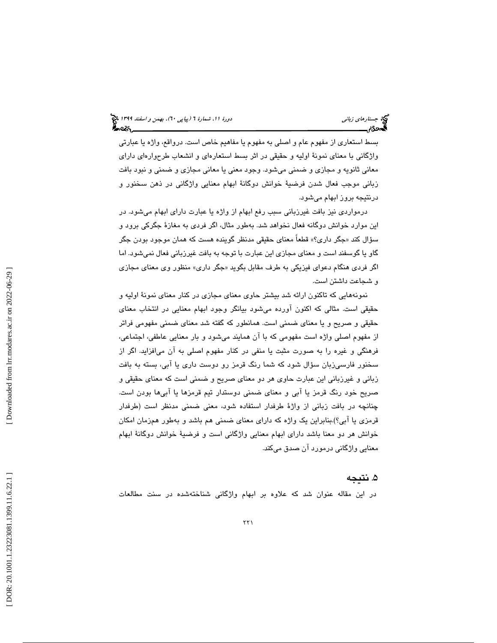بسط استعاري از مفهوم عام و اصلي به مفهوم يا مفاهيم خاص است. درواقع، واژه يا عبارتي واژگاني با معناي نمونة اوليه و حقيقي در اثر بسط استعارهاي و انشعاب طرحوارهاي داراي معاني ثانويه و مجازي و ضمني ميشود. وجود معني يا معاني مجازي و ضمني و نبود بافت زباني موجب فعال شدن فرضية خوانش دوگانة ابهام معنايي واژگاني در ذهن سخنور و درنتيجه بروز ابهام ميشو د.

درمواردي نيز بافت غيرزباني سبب رفع ابهام از واژه يا عبارت داراي ابهام ميشود. در اين موارد خوانش دوگانه فعال نخواهد شد. بهطور مثال، اگر فردي به مغازة جگركي برود و جگر داري؟» قطعاً معناي حقيقي مدنظر گوينده هست كه همان موجود بودن جگر سؤال كند « گاو يا گوسفند است و معناي مجازي اين عبارت با توجه به بافت غيرزباني فعال نميشود. اما اگر فردي هنگام دعواي فيزيكي به طرف مقابل بگويد «جگر داري» منظور وي معناي مجازي و شجاعت داشتن است.

نمونههايي كه تاكنون ارائه شد بيشتر حاوي معناي مجازي در كنار معناي نمونة اوليه و حقيقي است. مثالي كه اكنون آورده ميشود بيانگر وجود ابهام معنايي در انتخاب معناي حقيقي و صريح و يا معناي ضمني است. همانطور كه گفته شد معناي ضمني مفهومي فراتر از مفهوم اصلي واژه است مفهومي كه با آن همايند ميشود و بار معنايي عاطفي، اجتماعي، فرهنگي و غيره را به صورت مثبت يا منفي در كنار مفهوم اصلي به آن ميافزايد. اگر از سخنور فارسيزبان سؤال شود كه شما رنگ قرمز رو دوست داري يا آبي، بسته به بافت زباني و غيرزباني اين عبارت حاوي هر دو معناي صريح و ضمني است كه معناي حقيقي و صريح خود رنگ قرمز يا آبي و معناي ضمني دوستدار تيم قرمزها يا آبيها بودن است. چنانچه در بافت زباني از واژة طرفدار استفاده شود، معني ضمني مدنظر است (طرفدار قرمزي يا آبي؟).بنابراين يك واژه كه داراي معناي ضمني هم باشد و بهطور همزمان امكان خوانش هر دو معنا باشد داراي ابهام معنايي واژگاني است و فرضية خوانش دوگانة ابهام معنايي واژگاني درمورد آن صدق ميكند.

# . نتيجه 5

در اين مقاله عنوان شد كه علاوه بر ابهام واژگاني شناختهشده در سنت مطالعات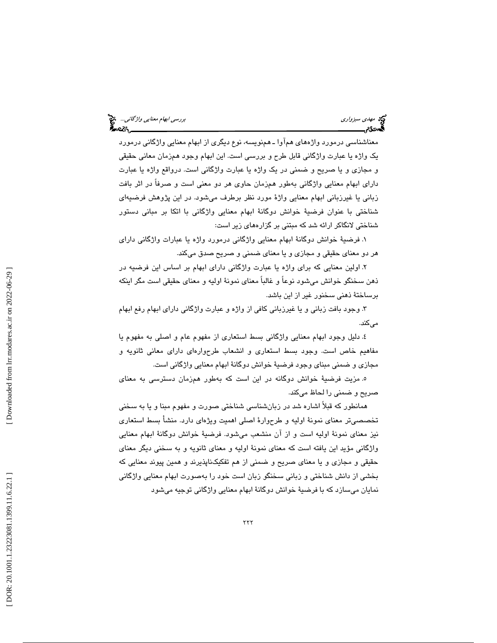معناشناسي درمورد واژههاي همآوا ـ همنويسه، نوع ديگري از ابهام معنايي واژگاني درمورد يك واژه يا عبارت واژگاني قابل طرح و بررسي است. اين ابهام وجود همزمان معاني حقيقي و مجازي و يا صريح و ضمني در يك واژه يا عبارت واژگاني است. درواقع واژه يا عبارت داراي ابهام معنايي واژگاني بهطور همزمان حاوي هر دو معني است و صرفاً در اثر بافت زباني يا غيرزباني ابهام معنايي واژة مورد نظر برطرف ميشود. در اين پژوهش فرضيهاي شناختي با عنوان فرضية خوانش دوگانة ابهام معنايي واژگاني با اتكا بر مباني دستور شناختي لانگاكر ارائه شد كه مبتني بر گزارههاي زير است:

 1. فرضية خوانش دوگانة ابهام معنايي واژگاني درمورد واژه يا عبارات واژگاني داراي هر دو معناي حقيقي و مجازي و يا معناي ضمني و صريح صدق ميكند.

 2. اولين معنايي كه براي واژه يا عبارت واژگاني داراي ابهام بر اساس اين فرضيه در ذهن سخنگو خوانش ميشود نوعاً و غالباً معناي نمونة اوليه و معناي حقيقي است مگر اينكه برساختة ذهني سخنور غير از اين باشد.

 3. وجود بافت زباني و يا غيرزباني كافي از واژه و عبارت واژگاني داراي ابهام رفع ابهام مے كند.

 4. دليل وجود ابهام معنايي واژگاني بسط استعاري از مفهوم عام و اصلي به مفهوم يا مفاهيم خاص است. وجود بسط استعاري و انشعاب طرحوارهاي داراي معاني ثانويه و مجازي و ضمني مبناي وجود فرضية خوانش دوگانة ابهام معنايي واژگاني است.

 5. مزيت فرضية خوانش دوگانه در اين است كه بهطور همزمان دسترسي به معناي صريح و ضمني را لحاظ ميكند.

همانطور كه قبلاً اشاره شد در زبانشناسي شناختي صورت و مفهوم مبنا و يا به سخني تخصصيتر معناي نمونة اوليه و طرحوارة اصلي اهميت ويژهاي دارد. منشأ بسط استعاري نيز معناي نمونة اوليه است و از آن منشعب ميشود. فرضية خوانش دوگانة ابهام معنايي واژگاني مؤيد اين يافته است كه معناي نمونة اوليه و معناي ثانويه و به سخني ديگر معناي حقيقي و مجازي و يا معناي صريح و ضمني از هم تفكيكناپذيرند و همين پيوند معنايي كه بخشي از دانش شناختي و زباني سخنگو زبان است خود را بهصورت ابهام معنايي واژگاني نمايان ميسازد كه با فرضية خوانش دوگانة ابهام معنايي واژگاني توجيه ميشود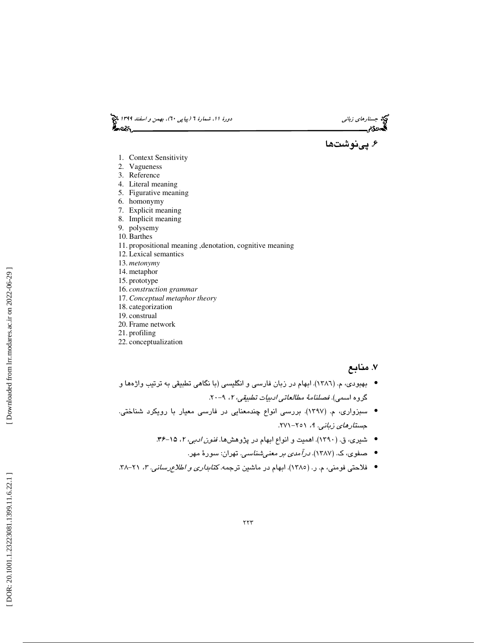دورهٔ 11، شمارهٔ 1 *(پیاپی ۲۰)، بهمن و اسفند ۱۳۹۹* پنج<br>**گنته** 





- 1. Context Sensitivity
- 2. Vagueness
- 3. Reference
- 4. Literal meaning
- 5. Figurative meaning
- 6. homonymy
- 7. Explicit meaning
- 8. Implicit meaning
- 9. polysemy
- 10. Barthes
- 11. propositional meaning ,denotation, cognitive meaning
- 12. Lexical semantics
- 13. *metonymy*
- 14. metaphor
- 15. prototype
- 16. *construction grammar*
- 17. *Conceptual metaphor theory* 18. categorization
- 19. construal
- 20. Frame network
- 21. profiling
- 22. conceptualization

## ۷. منابع

- بهبودي، م. (١٣٨٦). ابهام در زبان فارسي و انگليسي (با نگاهي تطبيقي به ترتيب واژهها و گروه اسمی). *فصلنامهٔ مطالعاتی ادبیات تطبیقی، ۲*، ۹–۲۰
- سبزواری، م. (۱۳۹۷). بررسی انواع چندمعنایی در فارسی معیار با رویکرد شناختی. جستارهاي زباني. ۹، ۲۰۱۱–۲۷۱.
	- شيري، ق. (١٣٩٠). اهميت و انواع ابهام در پژوهشها. *فنون ادبي، ٢، ١*٥-٣۶.
		- صفوی، ک. (۱۳۸۷). *درآمدی بر معنیشناسی.* تهران: سورهٔ مهر.
- فلاحتی فومنی، م. ر. (١٣٨٥). ابهام در ماشین ترجمه كت*ابداری و اطلاع رسانی. ٣،* ٢١-٣٨.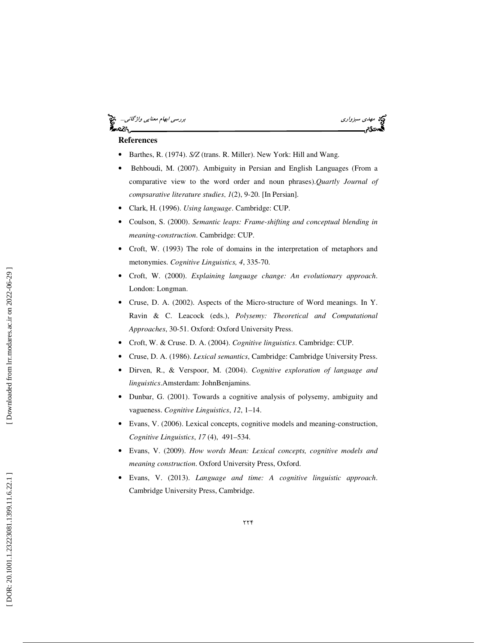#### مي ميزواري بررسي ابهام معنايي *واژگاني...*<br>مهدي بررسي ابهام معنايي واژگاني...<br>**ه**موديم ۰cò.



## **References**

- Barthes, R. (1974). *S/Z* (trans. R. Miller). New York: Hill and Wang.
- Behboudi, M. (2007). Ambiguity in Persian and English Languages (From a comparative view to the word order and noun phrases).*Quartly Journal of compsarative literature studies* , *1*(2), 9-20. [In Persian].
- Clark, H. (1996). *Using language*. Cambridge: CUP.
- Coulson, S. (2000). *Semantic leaps: Frame-shifting and conceptual blending in meaning-construction*. Cambridge: CUP.
- Croft, W. (1993) The role of domains in the interpretation of metaphors and metonymies. *Cognitive Linguistics, 4*, 335-70.
- Croft, W. (2000). *Explaining language change: An evolutionary approac h*. London: Longman.
- Cruse, D. A. (2002). Aspects of the Micro-structure of Word meanings. In Y. Ravin & C. Leacock (eds.), *Polysemy: Theoretical and Computational Approaches*, 30-51. Oxford: Oxford University Press.
- Croft, W. & Cruse. D. A. (2004). *Cognitive linguistics*. Cambridge: CUP.
- Cruse, D. A. (1986). *Lexical semantics*, Cambridge: Cambridge University Press.
- Dirven, R., & Verspoor, M. (2004). *Cognitive exploration of language and linguistics*.Amsterdam: JohnBenjamins.
- Dunbar, G. (2001). Towards a cognitive analysis of polysemy, ambiguity and vagueness. *Cognitive Linguistics*, *12*, 1–14.
- Evans, V. (2006). Lexical concepts, cognitive models and meaning-construction, *Cognitive Linguistics*, *17* (4), 491–534.
- Evans, V. (2009). *How words Mean: Lexical concepts, cognitive models and meaning construction*. Oxford University Press, Oxford.
- Evans, V. (2013). *Language and time: A cognitive linguistic approach*. Cambridge University Press, Cambridge.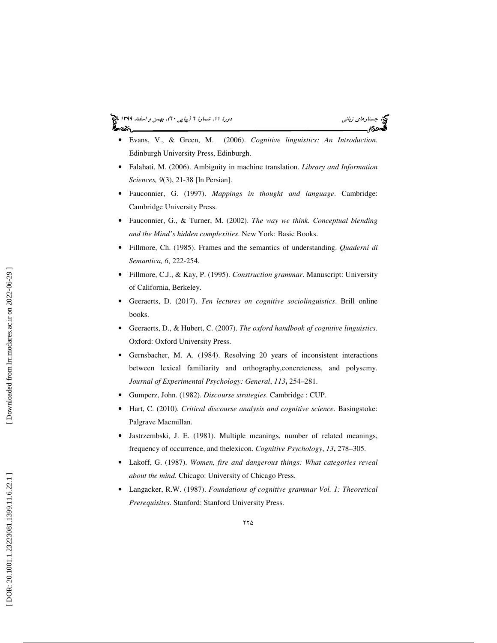#### جستاره*اي زباني (بياپي 60)، بهمن و اسفند 1*394 فرانس به 130 دورة ا $\mu$  شمارة 1 (پياپي 61)، بهم*ن و اسفند 1*34 فر આ પ્રિજ્



- Evans, V., & Green, M. (2006). *Cognitive linguistics: An Introduction*. Edinburgh University Press, Edinburgh.
- Falahati, M. (2006). Ambiguity in machine translation. *Library and Information Sciences, 9*(3), 21-38 [In Persian].
- Fauconnier, G. (1997). *Mappings in thought and language*. Cambridge: Cambridge University Press.
- Fauconnier, G., & Turner, M. (2002). *The way we think. Conceptual blending and the Mind's hidden complexities*. New York: Basic Books.
- Fillmore, Ch. (1985). Frames and the semantics of understanding. *Quaderni di Semantica, 6*, 222-254.
- Fillmore, C.J., & Kay, P. (1995). *Construction grammar*. Manuscript: University of California, Berkeley.
- Geeraerts, D. (2017). *Ten lectures on cognitive sociolinguistics*. Brill online books.
- Geeraerts, D., & Hubert, C. (2007). *The oxford handbook of cognitive linguistics*. Oxford: Oxford University Press.
- Gernsbacher, M. A. (1984). Resolving 20 years of inconsistent interactions between lexical familiarity and orthography,concreteness, and polysemy. *Journal of Experimental Psychology: General*, *113***,** 254–281.
- Gumperz, John. (1982). *Discourse strategies*. Cambridge : CUP.
- Hart, C. (2010). *Critical discourse analysis and cognitive science*. Basingstoke: Palgrave Macmillan.
- Jastrzembski, J. E. (1981). Multiple meanings, number of related meanings, frequency of occurrence, and thelexicon. *Cognitive Psychology*, *13***,** 278–305.
- Lakoff, G. (1987). *Women, fire and dangerous things: What categories reveal about the mind*. Chicago: University of Chicago Press.
- Langacker, R.W. (1987). *Foundations of cognitive grammar Vol. 1: Theoretical Prerequisites*. Stanford: Stanford University Press.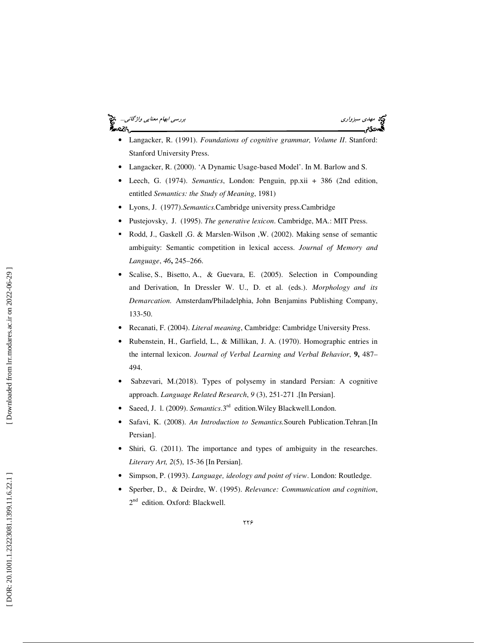#### مهدي سبزواري بررسي ابهام معنايي واژگاني... لمحتكم



- Langacker, R. (1991). *Foundations of cognitive grammar, Volume II*. Stanford: Stanford University Press.
- Langacker, R. (2000). 'A Dynamic Usage-based Model'. In M. Barlow and S.
- Leech, G. (1974). *Semantics*, London: Penguin, pp.xii + 386 (2nd edition, entitled *Semantics: the Study of Meaning*, 1981)
- Lyons, J. (1977).*Semantics.*Cambridge university press.Cambridge
- Pustejovsky, J. (1995). *The generative lexicon*. Cambridge, MA.: MIT Press.
- Rodd, J., Gaskell ,G. & Marslen-Wilson ,W. (2002). Making sense of semantic ambiguity: Semantic competition in lexical access. *Journal of Memory and Language*, *46***,** 245–266.
- Scalise, S., Bisetto, A., & Guevara, E. (2005). Selection in Compounding and Derivation, In Dressler W. U., D. et al. (eds.). *Morphology and its Demarcation.* Amsterdam/Philadelphia, John Benjamins Publishing Company, 133-50.
- Recanati, F. (2004). *Literal meaning*, Cambridge: Cambridge University Press.
- Rubenstein, H., Garfield, L., & Millikan, J. A. (1970). Homographic entries in the internal lexicon. *Journal of Verbal Learning and Verbal Behavior*, **9,** 487– 494.
- Sabzevari, M.(2018). Types of polysemy in standard Persian: A cognitive approach. *Language Related Research*, *9* (3), 251-271 .[In Persian].
- Saeed, J. l. (2009). *Semantics*.3rd edition.Wiley Blackwell.London.
- Safavi, K. (2008). *An Introduction to Semantics.*Soureh Publication.Tehran.[In Persian].
- Shiri, G. (2011). The importance and types of ambiguity in the researches. *Literary Art, 2*(5), 15-36 [In Persian].
- Simpson, P. (1993). *Language, ideology and point of view*. London: Routledge.
- Sperber, D., & Deirdre, W. (1995). *Relevance: Communication and cognition*, 2  $2<sup>nd</sup>$  edition. Oxford: Blackwell.